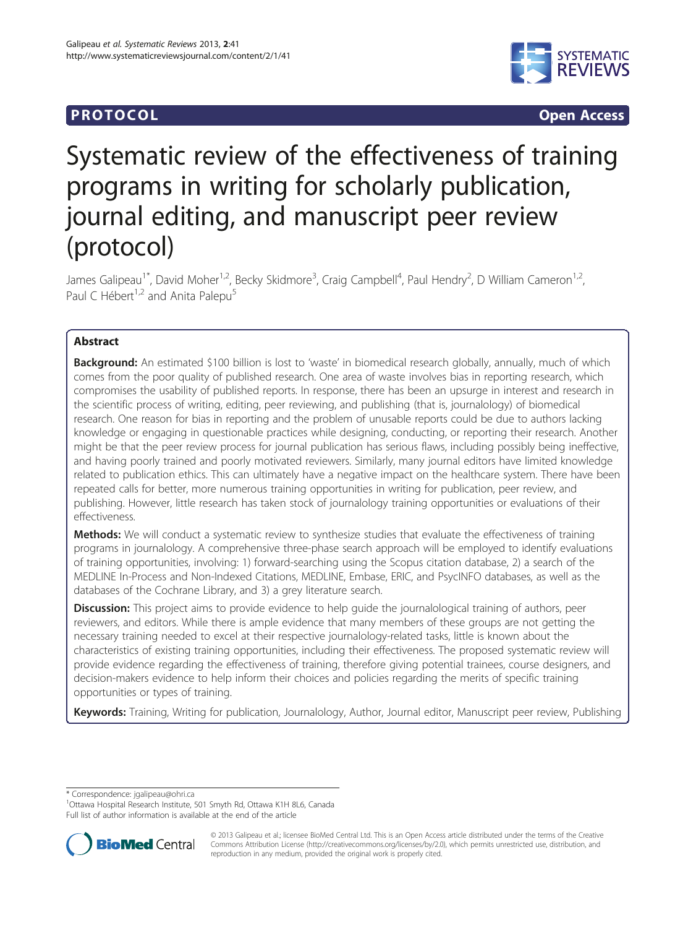# **PROTOCOL CONSUMING ACCESS CONSUMING ACCESS**



# Systematic review of the effectiveness of training programs in writing for scholarly publication, journal editing, and manuscript peer review (protocol)

James Galipeau<sup>1\*</sup>, David Moher<sup>1,2</sup>, Becky Skidmore<sup>3</sup>, Craig Campbell<sup>4</sup>, Paul Hendry<sup>2</sup>, D William Cameron<sup>1,2</sup>, Paul C Hébert<sup>1,2</sup> and Anita Palepu<sup>5</sup>

# Abstract

Background: An estimated \$100 billion is lost to 'waste' in biomedical research globally, annually, much of which comes from the poor quality of published research. One area of waste involves bias in reporting research, which compromises the usability of published reports. In response, there has been an upsurge in interest and research in the scientific process of writing, editing, peer reviewing, and publishing (that is, journalology) of biomedical research. One reason for bias in reporting and the problem of unusable reports could be due to authors lacking knowledge or engaging in questionable practices while designing, conducting, or reporting their research. Another might be that the peer review process for journal publication has serious flaws, including possibly being ineffective, and having poorly trained and poorly motivated reviewers. Similarly, many journal editors have limited knowledge related to publication ethics. This can ultimately have a negative impact on the healthcare system. There have been repeated calls for better, more numerous training opportunities in writing for publication, peer review, and publishing. However, little research has taken stock of journalology training opportunities or evaluations of their effectiveness.

**Methods:** We will conduct a systematic review to synthesize studies that evaluate the effectiveness of training programs in journalology. A comprehensive three-phase search approach will be employed to identify evaluations of training opportunities, involving: 1) forward-searching using the Scopus citation database, 2) a search of the MEDLINE In-Process and Non-Indexed Citations, MEDLINE, Embase, ERIC, and PsycINFO databases, as well as the databases of the Cochrane Library, and 3) a grey literature search.

**Discussion:** This project aims to provide evidence to help quide the journalological training of authors, peer reviewers, and editors. While there is ample evidence that many members of these groups are not getting the necessary training needed to excel at their respective journalology-related tasks, little is known about the characteristics of existing training opportunities, including their effectiveness. The proposed systematic review will provide evidence regarding the effectiveness of training, therefore giving potential trainees, course designers, and decision-makers evidence to help inform their choices and policies regarding the merits of specific training opportunities or types of training.

Keywords: Training, Writing for publication, Journalology, Author, Journal editor, Manuscript peer review, Publishing

\* Correspondence: [jgalipeau@ohri.ca](mailto:jgalipeau@ohri.ca) <sup>1</sup>

<sup>1</sup>Ottawa Hospital Research Institute, 501 Smyth Rd, Ottawa K1H 8L6, Canada Full list of author information is available at the end of the article



© 2013 Galipeau et al.; licensee BioMed Central Ltd. This is an Open Access article distributed under the terms of the Creative Commons Attribution License [\(http://creativecommons.org/licenses/by/2.0\)](http://creativecommons.org/licenses/by/2.0), which permits unrestricted use, distribution, and reproduction in any medium, provided the original work is properly cited.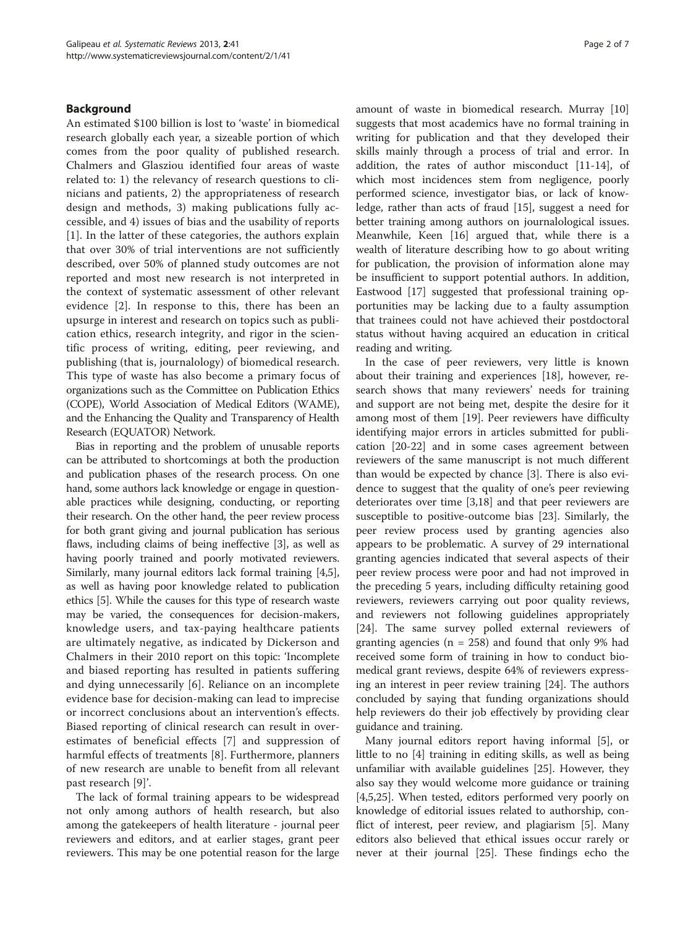### Background

An estimated \$100 billion is lost to 'waste' in biomedical research globally each year, a sizeable portion of which comes from the poor quality of published research. Chalmers and Glasziou identified four areas of waste related to: 1) the relevancy of research questions to clinicians and patients, 2) the appropriateness of research design and methods, 3) making publications fully accessible, and 4) issues of bias and the usability of reports [[1\]](#page-5-0). In the latter of these categories, the authors explain that over 30% of trial interventions are not sufficiently described, over 50% of planned study outcomes are not reported and most new research is not interpreted in the context of systematic assessment of other relevant evidence [\[2](#page-5-0)]. In response to this, there has been an upsurge in interest and research on topics such as publication ethics, research integrity, and rigor in the scientific process of writing, editing, peer reviewing, and publishing (that is, journalology) of biomedical research. This type of waste has also become a primary focus of organizations such as the Committee on Publication Ethics (COPE), World Association of Medical Editors (WAME), and the Enhancing the Quality and Transparency of Health Research (EQUATOR) Network.

Bias in reporting and the problem of unusable reports can be attributed to shortcomings at both the production and publication phases of the research process. On one hand, some authors lack knowledge or engage in questionable practices while designing, conducting, or reporting their research. On the other hand, the peer review process for both grant giving and journal publication has serious flaws, including claims of being ineffective [\[3\]](#page-5-0), as well as having poorly trained and poorly motivated reviewers. Similarly, many journal editors lack formal training [[4](#page-5-0),[5](#page-5-0)], as well as having poor knowledge related to publication ethics [[5\]](#page-5-0). While the causes for this type of research waste may be varied, the consequences for decision-makers, knowledge users, and tax-paying healthcare patients are ultimately negative, as indicated by Dickerson and Chalmers in their 2010 report on this topic: 'Incomplete and biased reporting has resulted in patients suffering and dying unnecessarily [\[6](#page-5-0)]. Reliance on an incomplete evidence base for decision-making can lead to imprecise or incorrect conclusions about an intervention's effects. Biased reporting of clinical research can result in overestimates of beneficial effects [[7](#page-5-0)] and suppression of harmful effects of treatments [[8\]](#page-5-0). Furthermore, planners of new research are unable to benefit from all relevant past research [[9](#page-5-0)]'.

The lack of formal training appears to be widespread not only among authors of health research, but also among the gatekeepers of health literature - journal peer reviewers and editors, and at earlier stages, grant peer reviewers. This may be one potential reason for the large

amount of waste in biomedical research. Murray [[10](#page-6-0)] suggests that most academics have no formal training in writing for publication and that they developed their skills mainly through a process of trial and error. In addition, the rates of author misconduct [[11-14](#page-6-0)], of which most incidences stem from negligence, poorly performed science, investigator bias, or lack of knowledge, rather than acts of fraud [[15\]](#page-6-0), suggest a need for better training among authors on journalological issues. Meanwhile, Keen [\[16](#page-6-0)] argued that, while there is a wealth of literature describing how to go about writing for publication, the provision of information alone may be insufficient to support potential authors. In addition, Eastwood [[17\]](#page-6-0) suggested that professional training opportunities may be lacking due to a faulty assumption that trainees could not have achieved their postdoctoral status without having acquired an education in critical reading and writing.

In the case of peer reviewers, very little is known about their training and experiences [[18\]](#page-6-0), however, research shows that many reviewers' needs for training and support are not being met, despite the desire for it among most of them [[19\]](#page-6-0). Peer reviewers have difficulty identifying major errors in articles submitted for publication [\[20](#page-6-0)-[22\]](#page-6-0) and in some cases agreement between reviewers of the same manuscript is not much different than would be expected by chance [[3\]](#page-5-0). There is also evidence to suggest that the quality of one's peer reviewing deteriorates over time [[3,](#page-5-0)[18\]](#page-6-0) and that peer reviewers are susceptible to positive-outcome bias [\[23\]](#page-6-0). Similarly, the peer review process used by granting agencies also appears to be problematic. A survey of 29 international granting agencies indicated that several aspects of their peer review process were poor and had not improved in the preceding 5 years, including difficulty retaining good reviewers, reviewers carrying out poor quality reviews, and reviewers not following guidelines appropriately [[24\]](#page-6-0). The same survey polled external reviewers of granting agencies ( $n = 258$ ) and found that only 9% had received some form of training in how to conduct biomedical grant reviews, despite 64% of reviewers expressing an interest in peer review training [[24](#page-6-0)]. The authors concluded by saying that funding organizations should help reviewers do their job effectively by providing clear guidance and training.

Many journal editors report having informal [\[5](#page-5-0)], or little to no [[4\]](#page-5-0) training in editing skills, as well as being unfamiliar with available guidelines [[25\]](#page-6-0). However, they also say they would welcome more guidance or training [[4,5,](#page-5-0)[25\]](#page-6-0). When tested, editors performed very poorly on knowledge of editorial issues related to authorship, conflict of interest, peer review, and plagiarism [\[5](#page-5-0)]. Many editors also believed that ethical issues occur rarely or never at their journal [\[25](#page-6-0)]. These findings echo the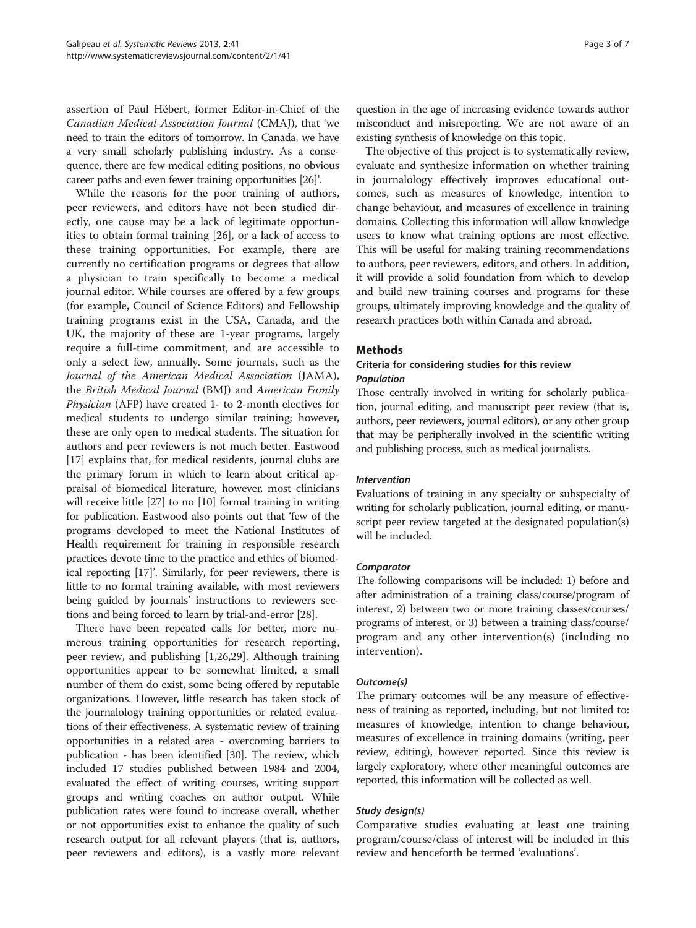assertion of Paul Hébert, former Editor-in-Chief of the Canadian Medical Association Journal (CMAJ), that 'we need to train the editors of tomorrow. In Canada, we have a very small scholarly publishing industry. As a consequence, there are few medical editing positions, no obvious career paths and even fewer training opportunities [\[26\]](#page-6-0)'.

While the reasons for the poor training of authors, peer reviewers, and editors have not been studied directly, one cause may be a lack of legitimate opportunities to obtain formal training [\[26](#page-6-0)], or a lack of access to these training opportunities. For example, there are currently no certification programs or degrees that allow a physician to train specifically to become a medical journal editor. While courses are offered by a few groups (for example, Council of Science Editors) and Fellowship training programs exist in the USA, Canada, and the UK, the majority of these are 1-year programs, largely require a full-time commitment, and are accessible to only a select few, annually. Some journals, such as the Journal of the American Medical Association (JAMA), the British Medical Journal (BMJ) and American Family Physician (AFP) have created 1- to 2-month electives for medical students to undergo similar training; however, these are only open to medical students. The situation for authors and peer reviewers is not much better. Eastwood [[17](#page-6-0)] explains that, for medical residents, journal clubs are the primary forum in which to learn about critical appraisal of biomedical literature, however, most clinicians will receive little [[27](#page-6-0)] to no [\[10\]](#page-6-0) formal training in writing for publication. Eastwood also points out that 'few of the programs developed to meet the National Institutes of Health requirement for training in responsible research practices devote time to the practice and ethics of biomedical reporting [\[17\]](#page-6-0)'. Similarly, for peer reviewers, there is little to no formal training available, with most reviewers being guided by journals' instructions to reviewers sections and being forced to learn by trial-and-error [\[28\]](#page-6-0).

There have been repeated calls for better, more numerous training opportunities for research reporting, peer review, and publishing [[1,](#page-5-0)[26](#page-6-0),[29](#page-6-0)]. Although training opportunities appear to be somewhat limited, a small number of them do exist, some being offered by reputable organizations. However, little research has taken stock of the journalology training opportunities or related evaluations of their effectiveness. A systematic review of training opportunities in a related area - overcoming barriers to publication - has been identified [[30](#page-6-0)]. The review, which included 17 studies published between 1984 and 2004, evaluated the effect of writing courses, writing support groups and writing coaches on author output. While publication rates were found to increase overall, whether or not opportunities exist to enhance the quality of such research output for all relevant players (that is, authors, peer reviewers and editors), is a vastly more relevant

question in the age of increasing evidence towards author misconduct and misreporting. We are not aware of an existing synthesis of knowledge on this topic.

The objective of this project is to systematically review, evaluate and synthesize information on whether training in journalology effectively improves educational outcomes, such as measures of knowledge, intention to change behaviour, and measures of excellence in training domains. Collecting this information will allow knowledge users to know what training options are most effective. This will be useful for making training recommendations to authors, peer reviewers, editors, and others. In addition, it will provide a solid foundation from which to develop and build new training courses and programs for these groups, ultimately improving knowledge and the quality of research practices both within Canada and abroad.

# Methods

# Criteria for considering studies for this review Population

Those centrally involved in writing for scholarly publication, journal editing, and manuscript peer review (that is, authors, peer reviewers, journal editors), or any other group that may be peripherally involved in the scientific writing and publishing process, such as medical journalists.

# Intervention

Evaluations of training in any specialty or subspecialty of writing for scholarly publication, journal editing, or manuscript peer review targeted at the designated population(s) will be included.

#### Comparator

The following comparisons will be included: 1) before and after administration of a training class/course/program of interest, 2) between two or more training classes/courses/ programs of interest, or 3) between a training class/course/ program and any other intervention(s) (including no intervention).

### Outcome(s)

The primary outcomes will be any measure of effectiveness of training as reported, including, but not limited to: measures of knowledge, intention to change behaviour, measures of excellence in training domains (writing, peer review, editing), however reported. Since this review is largely exploratory, where other meaningful outcomes are reported, this information will be collected as well.

#### Study design(s)

Comparative studies evaluating at least one training program/course/class of interest will be included in this review and henceforth be termed 'evaluations'.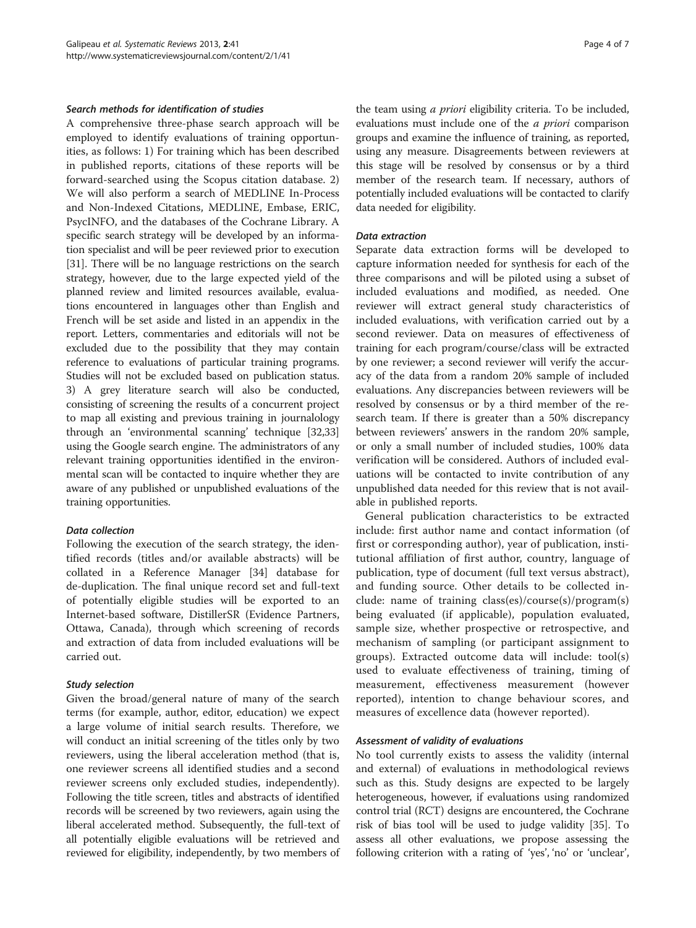#### Search methods for identification of studies

A comprehensive three-phase search approach will be employed to identify evaluations of training opportunities, as follows: 1) For training which has been described in published reports, citations of these reports will be forward-searched using the Scopus citation database. 2) We will also perform a search of MEDLINE In-Process and Non-Indexed Citations, MEDLINE, Embase, ERIC, PsycINFO, and the databases of the Cochrane Library. A specific search strategy will be developed by an information specialist and will be peer reviewed prior to execution [[31](#page-6-0)]. There will be no language restrictions on the search strategy, however, due to the large expected yield of the planned review and limited resources available, evaluations encountered in languages other than English and French will be set aside and listed in an appendix in the report. Letters, commentaries and editorials will not be excluded due to the possibility that they may contain reference to evaluations of particular training programs. Studies will not be excluded based on publication status. 3) A grey literature search will also be conducted, consisting of screening the results of a concurrent project to map all existing and previous training in journalology through an 'environmental scanning' technique [\[32,33](#page-6-0)] using the Google search engine. The administrators of any relevant training opportunities identified in the environmental scan will be contacted to inquire whether they are aware of any published or unpublished evaluations of the training opportunities.

## Data collection

Following the execution of the search strategy, the identified records (titles and/or available abstracts) will be collated in a Reference Manager [\[34](#page-6-0)] database for de-duplication. The final unique record set and full-text of potentially eligible studies will be exported to an Internet-based software, DistillerSR (Evidence Partners, Ottawa, Canada), through which screening of records and extraction of data from included evaluations will be carried out.

#### Study selection

Given the broad/general nature of many of the search terms (for example, author, editor, education) we expect a large volume of initial search results. Therefore, we will conduct an initial screening of the titles only by two reviewers, using the liberal acceleration method (that is, one reviewer screens all identified studies and a second reviewer screens only excluded studies, independently). Following the title screen, titles and abstracts of identified records will be screened by two reviewers, again using the liberal accelerated method. Subsequently, the full-text of all potentially eligible evaluations will be retrieved and reviewed for eligibility, independently, by two members of the team using a priori eligibility criteria. To be included, evaluations must include one of the a priori comparison groups and examine the influence of training, as reported, using any measure. Disagreements between reviewers at this stage will be resolved by consensus or by a third member of the research team. If necessary, authors of potentially included evaluations will be contacted to clarify data needed for eligibility.

#### Data extraction

Separate data extraction forms will be developed to capture information needed for synthesis for each of the three comparisons and will be piloted using a subset of included evaluations and modified, as needed. One reviewer will extract general study characteristics of included evaluations, with verification carried out by a second reviewer. Data on measures of effectiveness of training for each program/course/class will be extracted by one reviewer; a second reviewer will verify the accuracy of the data from a random 20% sample of included evaluations. Any discrepancies between reviewers will be resolved by consensus or by a third member of the research team. If there is greater than a 50% discrepancy between reviewers' answers in the random 20% sample, or only a small number of included studies, 100% data verification will be considered. Authors of included evaluations will be contacted to invite contribution of any unpublished data needed for this review that is not available in published reports.

General publication characteristics to be extracted include: first author name and contact information (of first or corresponding author), year of publication, institutional affiliation of first author, country, language of publication, type of document (full text versus abstract), and funding source. Other details to be collected include: name of training class(es)/course(s)/program(s) being evaluated (if applicable), population evaluated, sample size, whether prospective or retrospective, and mechanism of sampling (or participant assignment to groups). Extracted outcome data will include: tool(s) used to evaluate effectiveness of training, timing of measurement, effectiveness measurement (however reported), intention to change behaviour scores, and measures of excellence data (however reported).

#### Assessment of validity of evaluations

No tool currently exists to assess the validity (internal and external) of evaluations in methodological reviews such as this. Study designs are expected to be largely heterogeneous, however, if evaluations using randomized control trial (RCT) designs are encountered, the Cochrane risk of bias tool will be used to judge validity [[35](#page-6-0)]. To assess all other evaluations, we propose assessing the following criterion with a rating of 'yes', 'no' or 'unclear',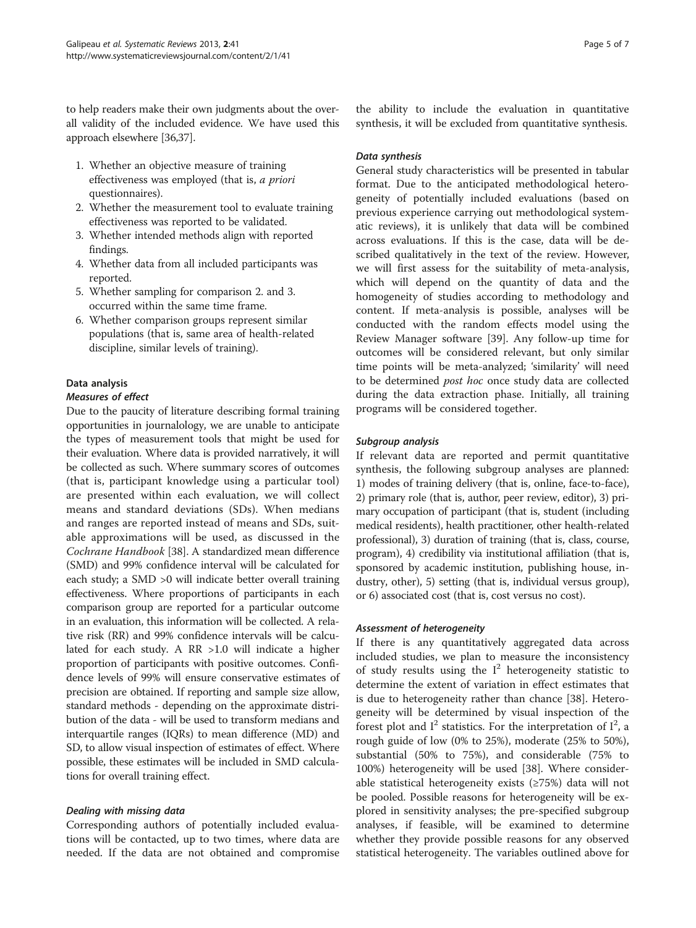to help readers make their own judgments about the overall validity of the included evidence. We have used this approach elsewhere [[36](#page-6-0),[37](#page-6-0)].

- 1. Whether an objective measure of training effectiveness was employed (that is, a priori questionnaires).
- 2. Whether the measurement tool to evaluate training effectiveness was reported to be validated.
- 3. Whether intended methods align with reported findings.
- 4. Whether data from all included participants was reported.
- 5. Whether sampling for comparison 2. and 3. occurred within the same time frame.
- 6. Whether comparison groups represent similar populations (that is, same area of health-related discipline, similar levels of training).

# Data analysis

#### Measures of effect

Due to the paucity of literature describing formal training opportunities in journalology, we are unable to anticipate the types of measurement tools that might be used for their evaluation. Where data is provided narratively, it will be collected as such. Where summary scores of outcomes (that is, participant knowledge using a particular tool) are presented within each evaluation, we will collect means and standard deviations (SDs). When medians and ranges are reported instead of means and SDs, suitable approximations will be used, as discussed in the Cochrane Handbook [[38](#page-6-0)]. A standardized mean difference (SMD) and 99% confidence interval will be calculated for each study; a SMD >0 will indicate better overall training effectiveness. Where proportions of participants in each comparison group are reported for a particular outcome in an evaluation, this information will be collected. A relative risk (RR) and 99% confidence intervals will be calculated for each study. A RR >1.0 will indicate a higher proportion of participants with positive outcomes. Confidence levels of 99% will ensure conservative estimates of precision are obtained. If reporting and sample size allow, standard methods - depending on the approximate distribution of the data - will be used to transform medians and interquartile ranges (IQRs) to mean difference (MD) and SD, to allow visual inspection of estimates of effect. Where possible, these estimates will be included in SMD calculations for overall training effect.

#### Dealing with missing data

Corresponding authors of potentially included evaluations will be contacted, up to two times, where data are needed. If the data are not obtained and compromise the ability to include the evaluation in quantitative synthesis, it will be excluded from quantitative synthesis.

### Data synthesis

General study characteristics will be presented in tabular format. Due to the anticipated methodological heterogeneity of potentially included evaluations (based on previous experience carrying out methodological systematic reviews), it is unlikely that data will be combined across evaluations. If this is the case, data will be described qualitatively in the text of the review. However, we will first assess for the suitability of meta-analysis, which will depend on the quantity of data and the homogeneity of studies according to methodology and content. If meta-analysis is possible, analyses will be conducted with the random effects model using the Review Manager software [\[39\]](#page-6-0). Any follow-up time for outcomes will be considered relevant, but only similar time points will be meta-analyzed; 'similarity' will need to be determined post hoc once study data are collected during the data extraction phase. Initially, all training programs will be considered together.

### Subgroup analysis

If relevant data are reported and permit quantitative synthesis, the following subgroup analyses are planned: 1) modes of training delivery (that is, online, face-to-face), 2) primary role (that is, author, peer review, editor), 3) primary occupation of participant (that is, student (including medical residents), health practitioner, other health-related professional), 3) duration of training (that is, class, course, program), 4) credibility via institutional affiliation (that is, sponsored by academic institution, publishing house, industry, other), 5) setting (that is, individual versus group), or 6) associated cost (that is, cost versus no cost).

# Assessment of heterogeneity

If there is any quantitatively aggregated data across included studies, we plan to measure the inconsistency of study results using the  $I^2$  heterogeneity statistic to determine the extent of variation in effect estimates that is due to heterogeneity rather than chance [\[38\]](#page-6-0). Heterogeneity will be determined by visual inspection of the forest plot and  $I^2$  statistics. For the interpretation of  $I^2$ , a rough guide of low (0% to 25%), moderate (25% to 50%), substantial (50% to 75%), and considerable (75% to 100%) heterogeneity will be used [[38\]](#page-6-0). Where considerable statistical heterogeneity exists (≥75%) data will not be pooled. Possible reasons for heterogeneity will be explored in sensitivity analyses; the pre-specified subgroup analyses, if feasible, will be examined to determine whether they provide possible reasons for any observed statistical heterogeneity. The variables outlined above for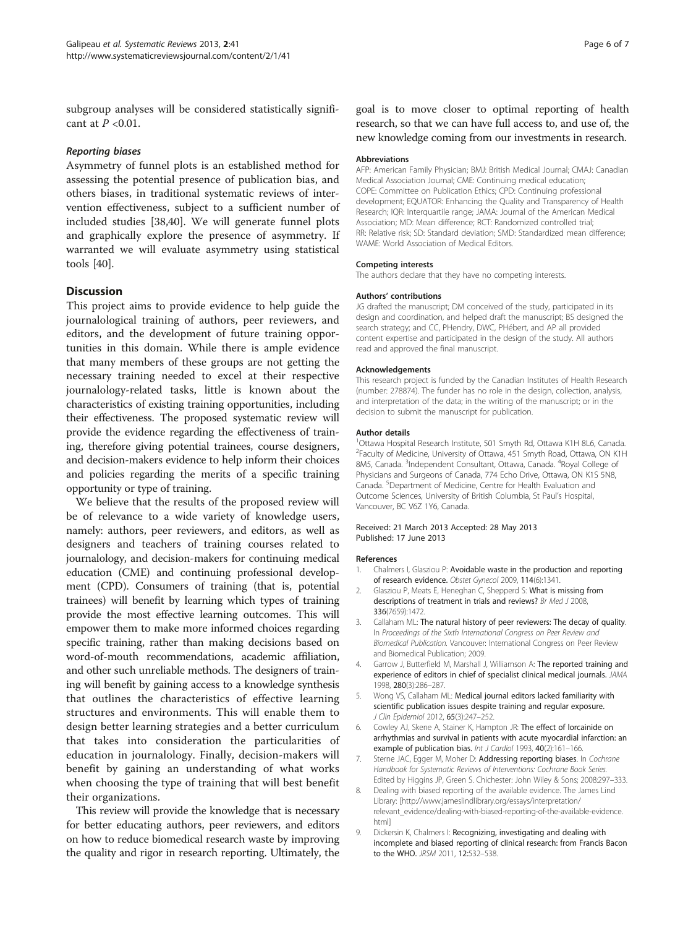<span id="page-5-0"></span>subgroup analyses will be considered statistically significant at  $P < 0.01$ .

#### Reporting biases

Asymmetry of funnel plots is an established method for assessing the potential presence of publication bias, and others biases, in traditional systematic reviews of intervention effectiveness, subject to a sufficient number of included studies [\[38,40\]](#page-6-0). We will generate funnel plots and graphically explore the presence of asymmetry. If warranted we will evaluate asymmetry using statistical tools [[40](#page-6-0)].

#### **Discussion**

This project aims to provide evidence to help guide the journalological training of authors, peer reviewers, and editors, and the development of future training opportunities in this domain. While there is ample evidence that many members of these groups are not getting the necessary training needed to excel at their respective journalology-related tasks, little is known about the characteristics of existing training opportunities, including their effectiveness. The proposed systematic review will provide the evidence regarding the effectiveness of training, therefore giving potential trainees, course designers, and decision-makers evidence to help inform their choices and policies regarding the merits of a specific training opportunity or type of training.

We believe that the results of the proposed review will be of relevance to a wide variety of knowledge users, namely: authors, peer reviewers, and editors, as well as designers and teachers of training courses related to journalology, and decision-makers for continuing medical education (CME) and continuing professional development (CPD). Consumers of training (that is, potential trainees) will benefit by learning which types of training provide the most effective learning outcomes. This will empower them to make more informed choices regarding specific training, rather than making decisions based on word-of-mouth recommendations, academic affiliation, and other such unreliable methods. The designers of training will benefit by gaining access to a knowledge synthesis that outlines the characteristics of effective learning structures and environments. This will enable them to design better learning strategies and a better curriculum that takes into consideration the particularities of education in journalology. Finally, decision-makers will benefit by gaining an understanding of what works when choosing the type of training that will best benefit their organizations.

This review will provide the knowledge that is necessary for better educating authors, peer reviewers, and editors on how to reduce biomedical research waste by improving the quality and rigor in research reporting. Ultimately, the

goal is to move closer to optimal reporting of health research, so that we can have full access to, and use of, the new knowledge coming from our investments in research.

#### Abbreviations

AFP: American Family Physician; BMJ: British Medical Journal; CMAJ: Canadian Medical Association Journal; CME: Continuing medical education; COPE: Committee on Publication Ethics; CPD: Continuing professional development; EQUATOR: Enhancing the Quality and Transparency of Health Research; IQR: Interquartile range; JAMA: Journal of the American Medical Association; MD: Mean difference; RCT: Randomized controlled trial; RR: Relative risk; SD: Standard deviation; SMD: Standardized mean difference; WAME: World Association of Medical Editors.

#### Competing interests

The authors declare that they have no competing interests.

#### Authors' contributions

JG drafted the manuscript; DM conceived of the study, participated in its design and coordination, and helped draft the manuscript; BS designed the search strategy; and CC, PHendry, DWC, PHébert, and AP all provided content expertise and participated in the design of the study. All authors read and approved the final manuscript.

#### Acknowledgements

This research project is funded by the Canadian Institutes of Health Research (number: 278874). The funder has no role in the design, collection, analysis, and interpretation of the data; in the writing of the manuscript; or in the decision to submit the manuscript for publication.

#### Author details

1 Ottawa Hospital Research Institute, 501 Smyth Rd, Ottawa K1H 8L6, Canada. <sup>2</sup> Faculty of Medicine, University of Ottawa, 451 Smyth Road, Ottawa, ON K1H 8M5, Canada. <sup>3</sup>Independent Consultant, Ottawa, Canada. <sup>4</sup>Royal College of Physicians and Surgeons of Canada, 774 Echo Drive, Ottawa, ON K1S 5N8, Canada.<sup>5</sup> Department of Medicine, Centre for Health Evaluation and Outcome Sciences, University of British Columbia, St Paul's Hospital, Vancouver, BC V6Z 1Y6, Canada.

#### Received: 21 March 2013 Accepted: 28 May 2013 Published: 17 June 2013

#### References

- 1. Chalmers I, Glasziou P: Avoidable waste in the production and reporting of research evidence. Obstet Gynecol 2009, 114(6):1341.
- 2. Glasziou P, Meats E, Heneghan C, Shepperd S: What is missing from descriptions of treatment in trials and reviews? Br Med J 2008, 336(7659):1472.
- 3. Callaham ML: The natural history of peer reviewers: The decay of quality. In Proceedings of the Sixth International Congress on Peer Review and Biomedical Publication. Vancouver: International Congress on Peer Review and Biomedical Publication; 2009.
- 4. Garrow J, Butterfield M, Marshall J, Williamson A: The reported training and experience of editors in chief of specialist clinical medical journals. JAMA 1998, 280(3):286–287.
- 5. Wong VS, Callaham ML: Medical journal editors lacked familiarity with scientific publication issues despite training and regular exposure. J Clin Epidemiol 2012, 65(3):247–252.
- 6. Cowley AJ, Skene A, Stainer K, Hampton JR: The effect of lorcainide on arrhythmias and survival in patients with acute myocardial infarction: an example of publication bias. Int J Cardiol 1993, 40(2):161-166.
- 7. Sterne JAC, Egger M, Moher D: Addressing reporting biases. In Cochrane Handbook for Systematic Reviews of Interventions: Cochrane Book Series. Edited by Higgins JP, Green S. Chichester: John Wiley & Sons; 2008:297–333.
- 8. Dealing with biased reporting of the available evidence. The James Lind Library: [[http://www.jameslindlibrary.org/essays/interpretation/](http://www.jameslindlibrary.org/essays/interpretation/relevant_evidence/dealing-with-biased-reporting-of-the-available-evidence.html) [relevant\\_evidence/dealing-with-biased-reporting-of-the-available-evidence.](http://www.jameslindlibrary.org/essays/interpretation/relevant_evidence/dealing-with-biased-reporting-of-the-available-evidence.html) [html\]](http://www.jameslindlibrary.org/essays/interpretation/relevant_evidence/dealing-with-biased-reporting-of-the-available-evidence.html)
- 9. Dickersin K, Chalmers I: Recognizing, investigating and dealing with incomplete and biased reporting of clinical research: from Francis Bacon to the WHO. JRSM 2011, 12:532–538.